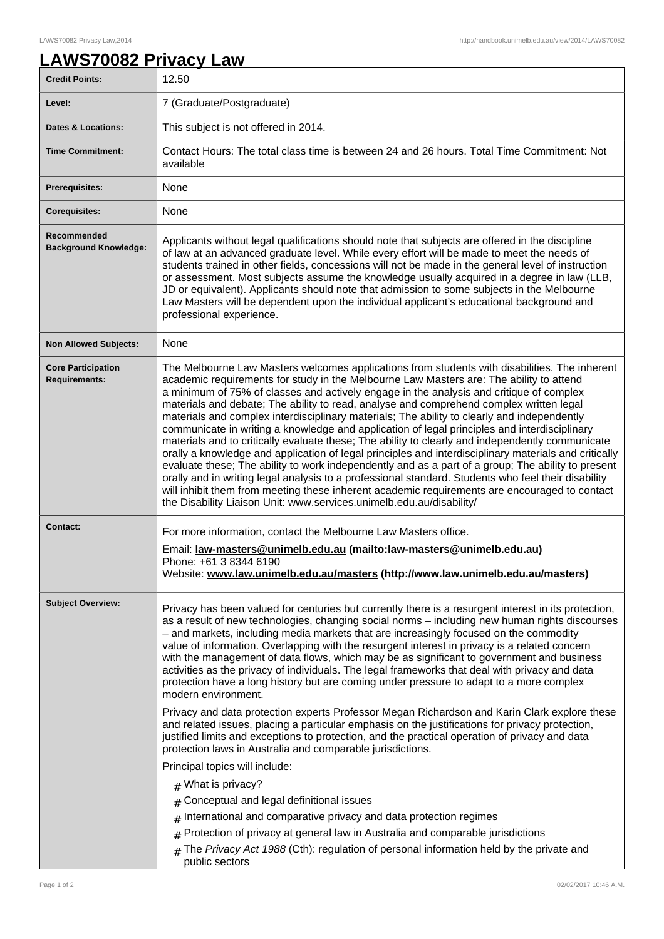## **LAWS70082 Privacy Law**

| <b>Credit Points:</b>                             | 12.50                                                                                                                                                                                                                                                                                                                                                                                                                                                                                                                                                                                                                                                                                                                                                                                                                                                                                                                                                                                                                                                                                                                                                                            |
|---------------------------------------------------|----------------------------------------------------------------------------------------------------------------------------------------------------------------------------------------------------------------------------------------------------------------------------------------------------------------------------------------------------------------------------------------------------------------------------------------------------------------------------------------------------------------------------------------------------------------------------------------------------------------------------------------------------------------------------------------------------------------------------------------------------------------------------------------------------------------------------------------------------------------------------------------------------------------------------------------------------------------------------------------------------------------------------------------------------------------------------------------------------------------------------------------------------------------------------------|
| Level:                                            | 7 (Graduate/Postgraduate)                                                                                                                                                                                                                                                                                                                                                                                                                                                                                                                                                                                                                                                                                                                                                                                                                                                                                                                                                                                                                                                                                                                                                        |
| <b>Dates &amp; Locations:</b>                     | This subject is not offered in 2014.                                                                                                                                                                                                                                                                                                                                                                                                                                                                                                                                                                                                                                                                                                                                                                                                                                                                                                                                                                                                                                                                                                                                             |
| <b>Time Commitment:</b>                           | Contact Hours: The total class time is between 24 and 26 hours. Total Time Commitment: Not<br>available                                                                                                                                                                                                                                                                                                                                                                                                                                                                                                                                                                                                                                                                                                                                                                                                                                                                                                                                                                                                                                                                          |
| <b>Prerequisites:</b>                             | None                                                                                                                                                                                                                                                                                                                                                                                                                                                                                                                                                                                                                                                                                                                                                                                                                                                                                                                                                                                                                                                                                                                                                                             |
| <b>Corequisites:</b>                              | None                                                                                                                                                                                                                                                                                                                                                                                                                                                                                                                                                                                                                                                                                                                                                                                                                                                                                                                                                                                                                                                                                                                                                                             |
| Recommended<br><b>Background Knowledge:</b>       | Applicants without legal qualifications should note that subjects are offered in the discipline<br>of law at an advanced graduate level. While every effort will be made to meet the needs of<br>students trained in other fields, concessions will not be made in the general level of instruction<br>or assessment. Most subjects assume the knowledge usually acquired in a degree in law (LLB,<br>JD or equivalent). Applicants should note that admission to some subjects in the Melbourne<br>Law Masters will be dependent upon the individual applicant's educational background and<br>professional experience.                                                                                                                                                                                                                                                                                                                                                                                                                                                                                                                                                         |
| <b>Non Allowed Subjects:</b>                      | None                                                                                                                                                                                                                                                                                                                                                                                                                                                                                                                                                                                                                                                                                                                                                                                                                                                                                                                                                                                                                                                                                                                                                                             |
| <b>Core Participation</b><br><b>Requirements:</b> | The Melbourne Law Masters welcomes applications from students with disabilities. The inherent<br>academic requirements for study in the Melbourne Law Masters are: The ability to attend<br>a minimum of 75% of classes and actively engage in the analysis and critique of complex<br>materials and debate; The ability to read, analyse and comprehend complex written legal<br>materials and complex interdisciplinary materials; The ability to clearly and independently<br>communicate in writing a knowledge and application of legal principles and interdisciplinary<br>materials and to critically evaluate these; The ability to clearly and independently communicate<br>orally a knowledge and application of legal principles and interdisciplinary materials and critically<br>evaluate these; The ability to work independently and as a part of a group; The ability to present<br>orally and in writing legal analysis to a professional standard. Students who feel their disability<br>will inhibit them from meeting these inherent academic requirements are encouraged to contact<br>the Disability Liaison Unit: www.services.unimelb.edu.au/disability/ |
| <b>Contact:</b>                                   | For more information, contact the Melbourne Law Masters office.                                                                                                                                                                                                                                                                                                                                                                                                                                                                                                                                                                                                                                                                                                                                                                                                                                                                                                                                                                                                                                                                                                                  |
|                                                   | Email: law-masters@unimelb.edu.au (mailto:law-masters@unimelb.edu.au)<br>Phone: +61 3 8344 6190<br>Website: www.law.unimelb.edu.au/masters (http://www.law.unimelb.edu.au/masters)                                                                                                                                                                                                                                                                                                                                                                                                                                                                                                                                                                                                                                                                                                                                                                                                                                                                                                                                                                                               |
| <b>Subject Overview:</b>                          | Privacy has been valued for centuries but currently there is a resurgent interest in its protection,<br>as a result of new technologies, changing social norms - including new human rights discourses<br>- and markets, including media markets that are increasingly focused on the commodity<br>value of information. Overlapping with the resurgent interest in privacy is a related concern<br>with the management of data flows, which may be as significant to government and business<br>activities as the privacy of individuals. The legal frameworks that deal with privacy and data<br>protection have a long history but are coming under pressure to adapt to a more complex<br>modern environment.<br>Privacy and data protection experts Professor Megan Richardson and Karin Clark explore these<br>and related issues, placing a particular emphasis on the justifications for privacy protection,<br>justified limits and exceptions to protection, and the practical operation of privacy and data<br>protection laws in Australia and comparable jurisdictions.                                                                                             |
|                                                   | Principal topics will include:                                                                                                                                                                                                                                                                                                                                                                                                                                                                                                                                                                                                                                                                                                                                                                                                                                                                                                                                                                                                                                                                                                                                                   |
|                                                   | $#$ What is privacy?                                                                                                                                                                                                                                                                                                                                                                                                                                                                                                                                                                                                                                                                                                                                                                                                                                                                                                                                                                                                                                                                                                                                                             |
|                                                   | Conceptual and legal definitional issues<br>#<br>International and comparative privacy and data protection regimes                                                                                                                                                                                                                                                                                                                                                                                                                                                                                                                                                                                                                                                                                                                                                                                                                                                                                                                                                                                                                                                               |
|                                                   | #<br>Protection of privacy at general law in Australia and comparable jurisdictions                                                                                                                                                                                                                                                                                                                                                                                                                                                                                                                                                                                                                                                                                                                                                                                                                                                                                                                                                                                                                                                                                              |
|                                                   | The Privacy Act 1988 (Cth): regulation of personal information held by the private and<br>#<br>public sectors                                                                                                                                                                                                                                                                                                                                                                                                                                                                                                                                                                                                                                                                                                                                                                                                                                                                                                                                                                                                                                                                    |